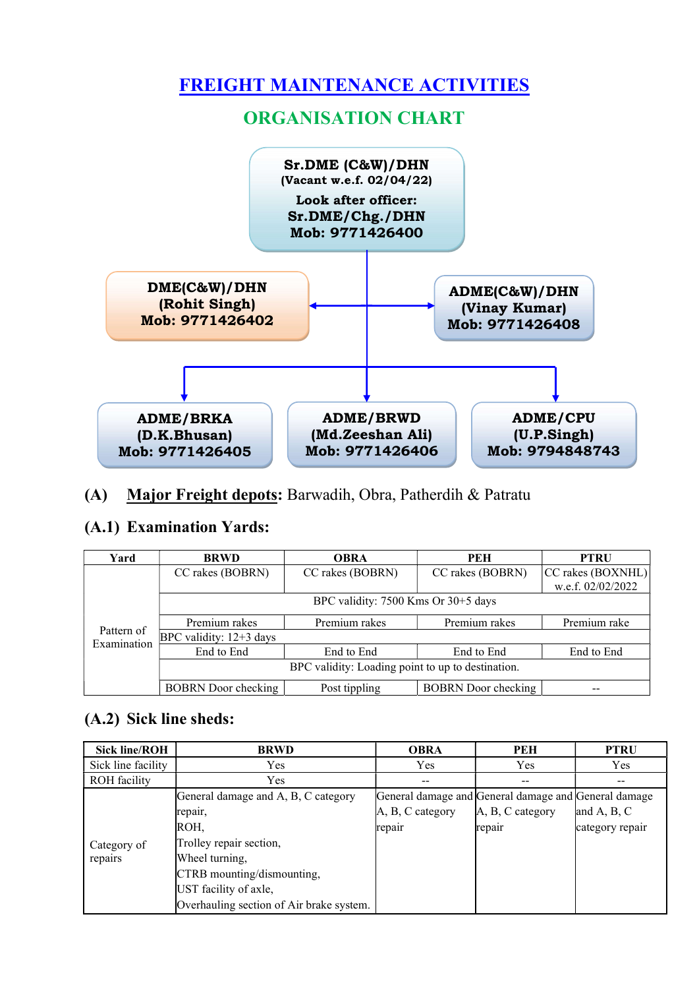

### (A) Major Freight depots: Barwadih, Obra, Patherdih & Patratu

### (A.1) Examination Yards:

| Yard                      | <b>BRWD</b>                                       | <b>OBRA</b>                    | PEH                        | <b>PTRU</b>       |  |  |  |  |
|---------------------------|---------------------------------------------------|--------------------------------|----------------------------|-------------------|--|--|--|--|
|                           | CC rakes (BOBRN)                                  | CC rakes (BOBRN)               | CC rakes (BOBRN)           | CC rakes (BOXNHL) |  |  |  |  |
|                           |                                                   |                                |                            | w.e.f. 02/02/2022 |  |  |  |  |
|                           | BPC validity: 7500 Kms Or 30+5 days               |                                |                            |                   |  |  |  |  |
|                           | Premium rakes                                     | Premium rakes<br>Premium rakes |                            | Premium rake      |  |  |  |  |
| Pattern of<br>Examination | BPC validity: $12+3$ days                         |                                |                            |                   |  |  |  |  |
|                           | End to End                                        | End to End                     | End to End                 | End to End        |  |  |  |  |
|                           | BPC validity: Loading point to up to destination. |                                |                            |                   |  |  |  |  |
|                           | <b>BOBRN</b> Door checking                        | Post tippling                  | <b>BOBRN</b> Door checking |                   |  |  |  |  |

# (A.2) Sick line sheds:

| <b>Sick line/ROH</b> | <b>BRWD</b>                              | <b>OBRA</b>                                          | <b>PEH</b>       | <b>PTRU</b>     |
|----------------------|------------------------------------------|------------------------------------------------------|------------------|-----------------|
| Sick line facility   | Yes                                      | Yes                                                  | Yes              | Yes             |
| <b>ROH</b> facility  | Yes                                      | --                                                   | --               |                 |
|                      | General damage and A, B, C category      | General damage and General damage and General damage |                  |                 |
|                      | repair,                                  | A, B, C category                                     | A, B, C category | and A, B, C     |
|                      | ROH,                                     | repair                                               | repair           | category repair |
| Category of          | Trolley repair section,                  |                                                      |                  |                 |
| repairs              | Wheel turning,                           |                                                      |                  |                 |
|                      | CTRB mounting/dismounting,               |                                                      |                  |                 |
|                      | UST facility of axle,                    |                                                      |                  |                 |
|                      | Overhauling section of Air brake system. |                                                      |                  |                 |